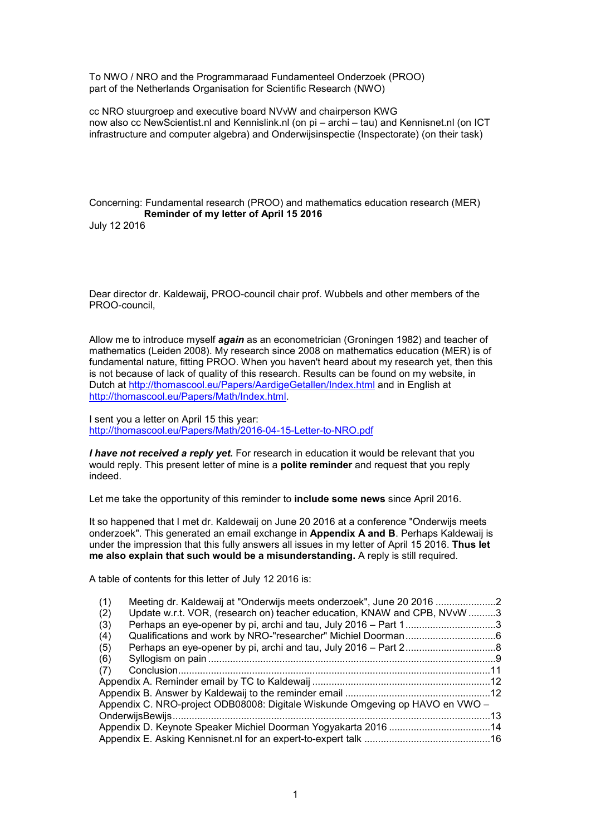To NWO / NRO and the Programmaraad Fundamenteel Onderzoek (PROO) part of the Netherlands Organisation for Scientific Research (NWO)

cc NRO stuurgroep and executive board NVvW and chairperson KWG now also cc NewScientist.nl and Kennislink.nl (on pi – archi – tau) and Kennisnet.nl (on ICT infrastructure and computer algebra) and Onderwijsinspectie (Inspectorate) (on their task)

Concerning: Fundamental research (PROO) and mathematics education research (MER) **Reminder of my letter of April 15 2016** July 12 2016

Dear director dr. Kaldewaij, PROO-council chair prof. Wubbels and other members of the PROO-council,

Allow me to introduce myself *again* as an econometrician (Groningen 1982) and teacher of mathematics (Leiden 2008). My research since 2008 on mathematics education (MER) is of fundamental nature, fitting PROO. When you haven't heard about my research yet, then this is not because of lack of quality of this research. Results can be found on my website, in Dutch at http://thomascool.eu/Papers/AardigeGetallen/Index.html and in English at http://thomascool.eu/Papers/Math/Index.html.

I sent you a letter on April 15 this year: http://thomascool.eu/Papers/Math/2016-04-15-Letter-to-NRO.pdf

*I have not received a reply yet.* For research in education it would be relevant that you would reply. This present letter of mine is a **polite reminder** and request that you reply indeed.

Let me take the opportunity of this reminder to **include some news** since April 2016.

It so happened that I met dr. Kaldewaij on June 20 2016 at a conference "Onderwijs meets onderzoek". This generated an email exchange in **Appendix A and B**. Perhaps Kaldewaij is under the impression that this fully answers all issues in my letter of April 15 2016. **Thus let me also explain that such would be a misunderstanding.** A reply is still required.

A table of contents for this letter of July 12 2016 is:

| Meeting dr. Kaldewaij at "Onderwijs meets onderzoek", June 20 2016<br>(1)       |  |
|---------------------------------------------------------------------------------|--|
| Update w.r.t. VOR, (research on) teacher education, KNAW and CPB, NVvW 3<br>(2) |  |
| Perhaps an eye-opener by pi, archi and tau, July 2016 – Part 13<br>(3)          |  |
| (4)                                                                             |  |
| (5)                                                                             |  |
| (6)                                                                             |  |
| (7)                                                                             |  |
|                                                                                 |  |
|                                                                                 |  |
| Appendix C. NRO-project ODB08008: Digitale Wiskunde Omgeving op HAVO en VWO -   |  |
|                                                                                 |  |
|                                                                                 |  |
|                                                                                 |  |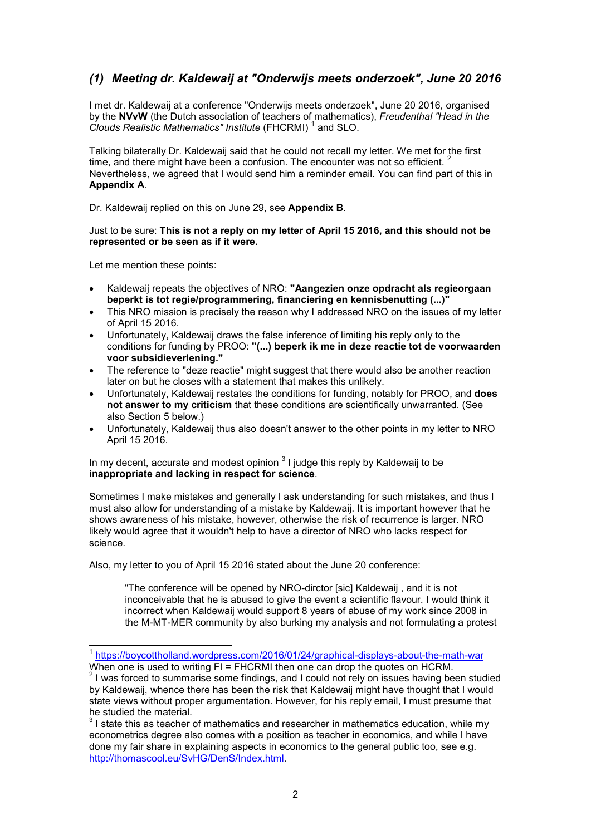# *(1) Meeting dr. Kaldewaij at "Onderwijs meets onderzoek", June 20 2016*

I met dr. Kaldewaij at a conference "Onderwijs meets onderzoek", June 20 2016, organised by the **NVvW** (the Dutch association of teachers of mathematics), *Freudenthal "Head in the* Clouds Realistic Mathematics" Institute (FHCRMI)<sup>1</sup> and SLO.

Talking bilaterally Dr. Kaldewaij said that he could not recall my letter. We met for the first time, and there might have been a confusion. The encounter was not so efficient. Nevertheless, we agreed that I would send him a reminder email. You can find part of this in **Appendix A**.

Dr. Kaldewaij replied on this on June 29, see **Appendix B**.

Just to be sure: **This is not a reply on my letter of April 15 2016, and this should not be represented or be seen as if it were.**

Let me mention these points:

j

- Kaldewaij repeats the objectives of NRO: **"Aangezien onze opdracht als regieorgaan beperkt is tot regie/programmering, financiering en kennisbenutting (...)"**
- This NRO mission is precisely the reason why I addressed NRO on the issues of my letter of April 15 2016.
- Unfortunately, Kaldewaij draws the false inference of limiting his reply only to the conditions for funding by PROO: **"(...) beperk ik me in deze reactie tot de voorwaarden voor subsidieverlening."**
- The reference to "deze reactie" might suggest that there would also be another reaction later on but he closes with a statement that makes this unlikely.
- Unfortunately, Kaldewaij restates the conditions for funding, notably for PROO, and **does not answer to my criticism** that these conditions are scientifically unwarranted. (See also Section 5 below.)
- Unfortunately, Kaldewaij thus also doesn't answer to the other points in my letter to NRO April 15 2016.

In my decent, accurate and modest opinion  $^3$  I judge this reply by Kaldewaij to be **inappropriate and lacking in respect for science**.

Sometimes I make mistakes and generally I ask understanding for such mistakes, and thus I must also allow for understanding of a mistake by Kaldewaij. It is important however that he shows awareness of his mistake, however, otherwise the risk of recurrence is larger. NRO likely would agree that it wouldn't help to have a director of NRO who lacks respect for science.

Also, my letter to you of April 15 2016 stated about the June 20 conference:

"The conference will be opened by NRO-dirctor [sic] Kaldewaij , and it is not inconceivable that he is abused to give the event a scientific flavour. I would think it incorrect when Kaldewaij would support 8 years of abuse of my work since 2008 in the M-MT-MER community by also burking my analysis and not formulating a protest

<sup>1</sup> https://boycottholland.wordpress.com/2016/01/24/graphical-displays-about-the-math-war When one is used to writing FI = FHCRMI then one can drop the quotes on HCRM.

 $2$  I was forced to summarise some findings, and I could not rely on issues having been studied by Kaldewaij, whence there has been the risk that Kaldewaij might have thought that I would state views without proper argumentation. However, for his reply email, I must presume that he studied the material.

 $^3$  I state this as teacher of mathematics and researcher in mathematics education, while my econometrics degree also comes with a position as teacher in economics, and while I have done my fair share in explaining aspects in economics to the general public too, see e.g. http://thomascool.eu/SvHG/DenS/Index.html.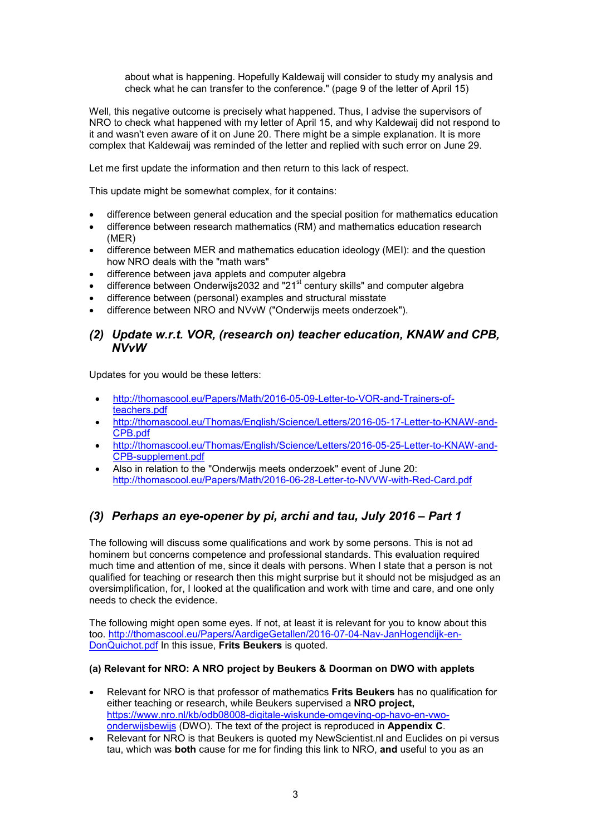about what is happening. Hopefully Kaldewaij will consider to study my analysis and check what he can transfer to the conference." (page 9 of the letter of April 15)

Well, this negative outcome is precisely what happened. Thus, I advise the supervisors of NRO to check what happened with my letter of April 15, and why Kaldewaij did not respond to it and wasn't even aware of it on June 20. There might be a simple explanation. It is more complex that Kaldewaij was reminded of the letter and replied with such error on June 29.

Let me first update the information and then return to this lack of respect.

This update might be somewhat complex, for it contains:

- difference between general education and the special position for mathematics education
- difference between research mathematics (RM) and mathematics education research (MER)
- difference between MER and mathematics education ideology (MEI): and the question how NRO deals with the "math wars"
- difference between java applets and computer algebra
- difference between Onderwijs2032 and "21<sup>st</sup> century skills" and computer algebra
- difference between (personal) examples and structural misstate
- difference between NRO and NVvW ("Onderwijs meets onderzoek").

## *(2) Update w.r.t. VOR, (research on) teacher education, KNAW and CPB, NVvW*

Updates for you would be these letters:

- http://thomascool.eu/Papers/Math/2016-05-09-Letter-to-VOR-and-Trainers-ofteachers.pdf
- http://thomascool.eu/Thomas/English/Science/Letters/2016-05-17-Letter-to-KNAW-and-CPB.pdf
- http://thomascool.eu/Thomas/English/Science/Letters/2016-05-25-Letter-to-KNAW-and-CPB-supplement.pdf
- Also in relation to the "Onderwijs meets onderzoek" event of June 20: http://thomascool.eu/Papers/Math/2016-06-28-Letter-to-NVVW-with-Red-Card.pdf

# *(3) Perhaps an eye-opener by pi, archi and tau, July 2016 – Part 1*

The following will discuss some qualifications and work by some persons. This is not ad hominem but concerns competence and professional standards. This evaluation required much time and attention of me, since it deals with persons. When I state that a person is not qualified for teaching or research then this might surprise but it should not be misjudged as an oversimplification, for, I looked at the qualification and work with time and care, and one only needs to check the evidence.

The following might open some eyes. If not, at least it is relevant for you to know about this too. http://thomascool.eu/Papers/AardigeGetallen/2016-07-04-Nav-JanHogendijk-en-DonQuichot.pdf In this issue, **Frits Beukers** is quoted.

### **(a) Relevant for NRO: A NRO project by Beukers & Doorman on DWO with applets**

- Relevant for NRO is that professor of mathematics **Frits Beukers** has no qualification for either teaching or research, while Beukers supervised a **NRO project,** https://www.nro.nl/kb/odb08008-digitale-wiskunde-omgeving-op-havo-en-vwoonderwijsbewijs (DWO). The text of the project is reproduced in **Appendix C**.
- Relevant for NRO is that Beukers is quoted my NewScientist.nl and Euclides on pi versus tau, which was **both** cause for me for finding this link to NRO, **and** useful to you as an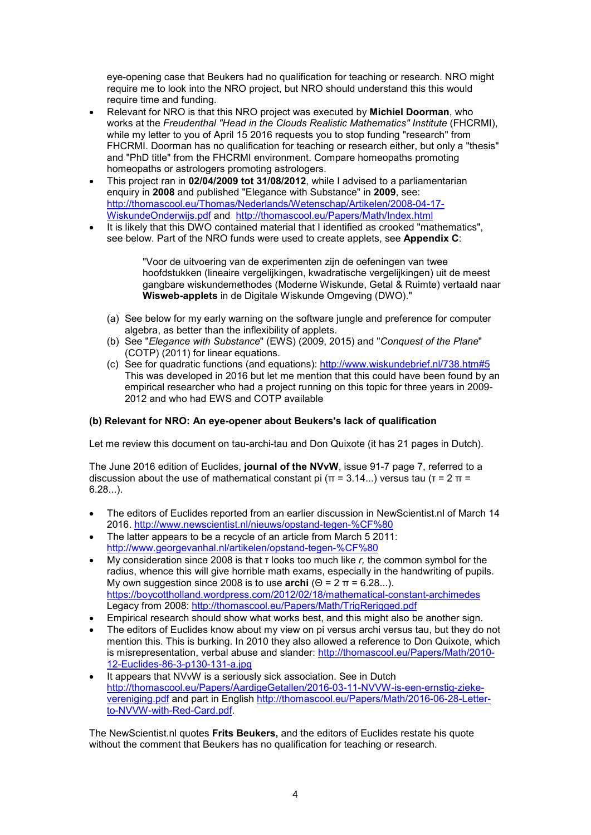eye-opening case that Beukers had no qualification for teaching or research. NRO might require me to look into the NRO project, but NRO should understand this this would require time and funding.

- Relevant for NRO is that this NRO project was executed by **Michiel Doorman**, who works at the *Freudenthal "Head in the Clouds Realistic Mathematics" Institute* (FHCRMI), while my letter to you of April 15 2016 requests you to stop funding "research" from FHCRMI. Doorman has no qualification for teaching or research either, but only a "thesis" and "PhD title" from the FHCRMI environment. Compare homeopaths promoting homeopaths or astrologers promoting astrologers.
- This project ran in **02/04/2009 tot 31/08/2012**, while I advised to a parliamentarian enquiry in **2008** and published "Elegance with Substance" in **2009**, see: http://thomascool.eu/Thomas/Nederlands/Wetenschap/Artikelen/2008-04-17- WiskundeOnderwijs.pdf and http://thomascool.eu/Papers/Math/Index.html
- It is likely that this DWO contained material that I identified as crooked "mathematics", see below. Part of the NRO funds were used to create applets, see **Appendix C**:

"Voor de uitvoering van de experimenten zijn de oefeningen van twee hoofdstukken (lineaire vergelijkingen, kwadratische vergelijkingen) uit de meest gangbare wiskundemethodes (Moderne Wiskunde, Getal & Ruimte) vertaald naar **Wisweb-applets** in de Digitale Wiskunde Omgeving (DWO)."

- (a) See below for my early warning on the software jungle and preference for computer algebra, as better than the inflexibility of applets.
- (b) See "*Elegance with Substance*" (EWS) (2009, 2015) and "*Conquest of the Plane*" (COTP) (2011) for linear equations.
- (c) See for quadratic functions (and equations): http://www.wiskundebrief.nl/738.htm#5 This was developed in 2016 but let me mention that this could have been found by an empirical researcher who had a project running on this topic for three years in 2009- 2012 and who had EWS and COTP available

## **(b) Relevant for NRO: An eye-opener about Beukers's lack of qualification**

Let me review this document on tau-archi-tau and Don Quixote (it has 21 pages in Dutch).

The June 2016 edition of Euclides, **journal of the NVvW**, issue 91-7 page 7, referred to a discussion about the use of mathematical constant pi ( $\pi$  = 3.14...) versus tau ( $\tau$  = 2  $\pi$  = 6.28...).

- The editors of Euclides reported from an earlier discussion in NewScientist.nl of March 14 2016. http://www.newscientist.nl/nieuws/opstand-tegen-%CF%80
- The latter appears to be a recycle of an article from March 5 2011: http://www.georgevanhal.nl/artikelen/opstand-tegen-%CF%80
- My consideration since 2008 is that τ looks too much like *r,* the common symbol for the radius, whence this will give horrible math exams, especially in the handwriting of pupils. My own suggestion since 2008 is to use **archi** (Θ = 2 π = 6.28...). https://boycottholland.wordpress.com/2012/02/18/mathematical-constant-archimedes Legacy from 2008: http://thomascool.eu/Papers/Math/TrigRerigged.pdf
- Empirical research should show what works best, and this might also be another sign.
- The editors of Euclides know about my view on pi versus archi versus tau, but they do not mention this. This is burking. In 2010 they also allowed a reference to Don Quixote, which is misrepresentation, verbal abuse and slander: http://thomascool.eu/Papers/Math/2010- 12-Euclides-86-3-p130-131-a.jpg
- It appears that NVvW is a seriously sick association. See in Dutch http://thomascool.eu/Papers/AardigeGetallen/2016-03-11-NVVW-is-een-ernstig-ziekevereniging.pdf and part in English http://thomascool.eu/Papers/Math/2016-06-28-Letterto-NVVW-with-Red-Card.pdf.

The NewScientist.nl quotes **Frits Beukers,** and the editors of Euclides restate his quote without the comment that Beukers has no qualification for teaching or research.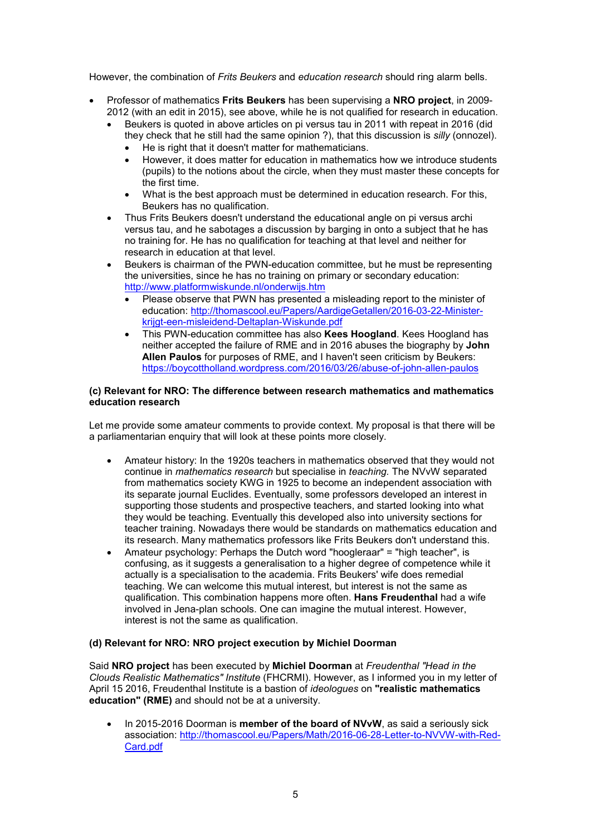However, the combination of *Frits Beukers* and *education research* should ring alarm bells.

- Professor of mathematics **Frits Beukers** has been supervising a **NRO project**, in 2009- 2012 (with an edit in 2015), see above, while he is not qualified for research in education.
	- Beukers is quoted in above articles on pi versus tau in 2011 with repeat in 2016 (did they check that he still had the same opinion ?), that this discussion is *silly* (onnozel).
		- He is right that it doesn't matter for mathematicians.
		- However, it does matter for education in mathematics how we introduce students (pupils) to the notions about the circle, when they must master these concepts for the first time.
		- What is the best approach must be determined in education research. For this, Beukers has no qualification.
	- Thus Frits Beukers doesn't understand the educational angle on pi versus archi versus tau, and he sabotages a discussion by barging in onto a subject that he has no training for. He has no qualification for teaching at that level and neither for research in education at that level.
	- Beukers is chairman of the PWN-education committee, but he must be representing the universities, since he has no training on primary or secondary education: http://www.platformwiskunde.nl/onderwijs.htm
		- Please observe that PWN has presented a misleading report to the minister of education: http://thomascool.eu/Papers/AardigeGetallen/2016-03-22-Ministerkrijgt-een-misleidend-Deltaplan-Wiskunde.pdf
		- This PWN-education committee has also **Kees Hoogland**. Kees Hoogland has neither accepted the failure of RME and in 2016 abuses the biography by **John Allen Paulos** for purposes of RME, and I haven't seen criticism by Beukers: https://boycottholland.wordpress.com/2016/03/26/abuse-of-john-allen-paulos

### **(c) Relevant for NRO: The difference between research mathematics and mathematics education research**

Let me provide some amateur comments to provide context. My proposal is that there will be a parliamentarian enquiry that will look at these points more closely.

- Amateur history: In the 1920s teachers in mathematics observed that they would not continue in *mathematics research* but specialise in *teaching.* The NVvW separated from mathematics society KWG in 1925 to become an independent association with its separate journal Euclides. Eventually, some professors developed an interest in supporting those students and prospective teachers, and started looking into what they would be teaching. Eventually this developed also into university sections for teacher training. Nowadays there would be standards on mathematics education and its research. Many mathematics professors like Frits Beukers don't understand this.
- Amateur psychology: Perhaps the Dutch word "hoogleraar" = "high teacher", is confusing, as it suggests a generalisation to a higher degree of competence while it actually is a specialisation to the academia. Frits Beukers' wife does remedial teaching. We can welcome this mutual interest, but interest is not the same as qualification. This combination happens more often. **Hans Freudenthal** had a wife involved in Jena-plan schools. One can imagine the mutual interest. However, interest is not the same as qualification.

### **(d) Relevant for NRO: NRO project execution by Michiel Doorman**

Said **NRO project** has been executed by **Michiel Doorman** at *Freudenthal "Head in the Clouds Realistic Mathematics" Institute* (FHCRMI). However, as I informed you in my letter of April 15 2016, Freudenthal Institute is a bastion of *ideologues* on **"realistic mathematics education" (RME)** and should not be at a university.

• In 2015-2016 Doorman is **member of the board of NVvW**, as said a seriously sick association: http://thomascool.eu/Papers/Math/2016-06-28-Letter-to-NVVW-with-Red-Card.pdf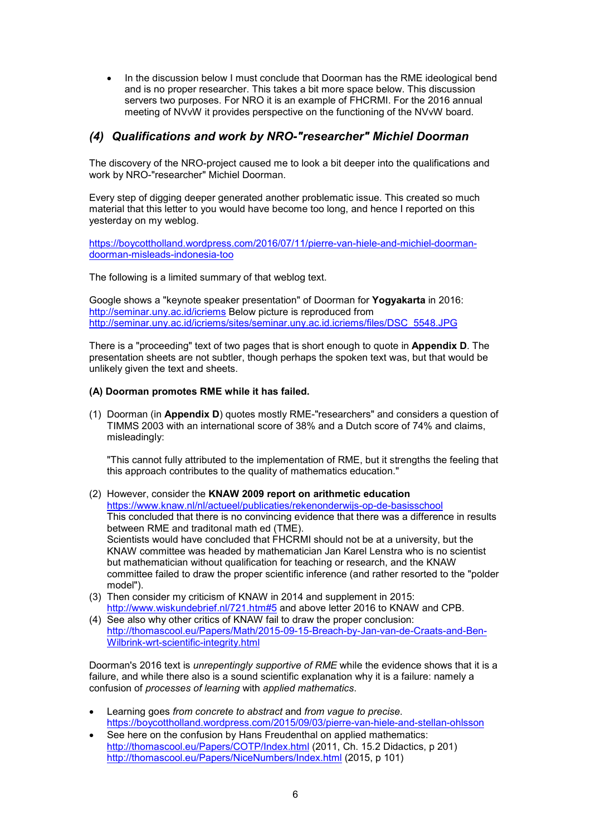In the discussion below I must conclude that Doorman has the RME ideological bend and is no proper researcher. This takes a bit more space below. This discussion servers two purposes. For NRO it is an example of FHCRMI. For the 2016 annual meeting of NVvW it provides perspective on the functioning of the NVvW board.

## *(4) Qualifications and work by NRO-"researcher" Michiel Doorman*

The discovery of the NRO-project caused me to look a bit deeper into the qualifications and work by NRO-"researcher" Michiel Doorman.

Every step of digging deeper generated another problematic issue. This created so much material that this letter to you would have become too long, and hence I reported on this yesterday on my weblog.

https://boycottholland.wordpress.com/2016/07/11/pierre-van-hiele-and-michiel-doormandoorman-misleads-indonesia-too

The following is a limited summary of that weblog text.

Google shows a "keynote speaker presentation" of Doorman for **Yogyakarta** in 2016: http://seminar.uny.ac.id/icriems Below picture is reproduced from http://seminar.uny.ac.id/icriems/sites/seminar.uny.ac.id.icriems/files/DSC\_5548.JPG

There is a "proceeding" text of two pages that is short enough to quote in **Appendix D**. The presentation sheets are not subtler, though perhaps the spoken text was, but that would be unlikely given the text and sheets.

### **(A) Doorman promotes RME while it has failed.**

(1) Doorman (in **Appendix D**) quotes mostly RME-"researchers" and considers a question of TIMMS 2003 with an international score of 38% and a Dutch score of 74% and claims, misleadingly:

"This cannot fully attributed to the implementation of RME, but it strengths the feeling that this approach contributes to the quality of mathematics education."

- (2) However, consider the **KNAW 2009 report on arithmetic education** https://www.knaw.nl/nl/actueel/publicaties/rekenonderwijs-op-de-basisschool This concluded that there is no convincing evidence that there was a difference in results between RME and traditonal math ed (TME). Scientists would have concluded that FHCRMI should not be at a university, but the KNAW committee was headed by mathematician Jan Karel Lenstra who is no scientist but mathematician without qualification for teaching or research, and the KNAW committee failed to draw the proper scientific inference (and rather resorted to the "polder model").
- (3) Then consider my criticism of KNAW in 2014 and supplement in 2015: http://www.wiskundebrief.nl/721.htm#5 and above letter 2016 to KNAW and CPB.
- (4) See also why other critics of KNAW fail to draw the proper conclusion: http://thomascool.eu/Papers/Math/2015-09-15-Breach-by-Jan-van-de-Craats-and-Ben-Wilbrink-wrt-scientific-integrity.html

Doorman's 2016 text is *unrepentingly supportive of RME* while the evidence shows that it is a failure, and while there also is a sound scientific explanation why it is a failure: namely a confusion of *processes of learning* with *applied mathematics*.

- Learning goes *from concrete to abstract* and *from vague to precise*. https://boycottholland.wordpress.com/2015/09/03/pierre-van-hiele-and-stellan-ohlsson
- See here on the confusion by Hans Freudenthal on applied mathematics: http://thomascool.eu/Papers/COTP/Index.html (2011, Ch. 15.2 Didactics, p 201) http://thomascool.eu/Papers/NiceNumbers/Index.html (2015, p 101)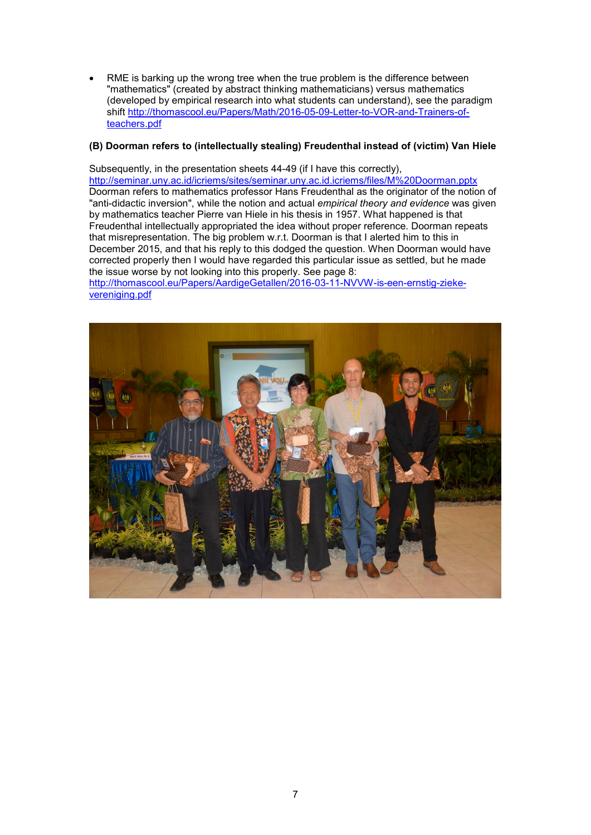RME is barking up the wrong tree when the true problem is the difference between "mathematics" (created by abstract thinking mathematicians) versus mathematics (developed by empirical research into what students can understand), see the paradigm shift http://thomascool.eu/Papers/Math/2016-05-09-Letter-to-VOR-and-Trainers-ofteachers.pdf

### **(B) Doorman refers to (intellectually stealing) Freudenthal instead of (victim) Van Hiele**

Subsequently, in the presentation sheets 44-49 (if I have this correctly), http://seminar.uny.ac.id/icriems/sites/seminar.uny.ac.id.icriems/files/M%20Doorman.pptx Doorman refers to mathematics professor Hans Freudenthal as the originator of the notion of "anti-didactic inversion", while the notion and actual *empirical theory and evidence* was given by mathematics teacher Pierre van Hiele in his thesis in 1957. What happened is that Freudenthal intellectually appropriated the idea without proper reference. Doorman repeats that misrepresentation. The big problem w.r.t. Doorman is that I alerted him to this in December 2015, and that his reply to this dodged the question. When Doorman would have corrected properly then I would have regarded this particular issue as settled, but he made the issue worse by not looking into this properly. See page 8:

http://thomascool.eu/Papers/AardigeGetallen/2016-03-11-NVVW-is-een-ernstig-ziekevereniging.pdf

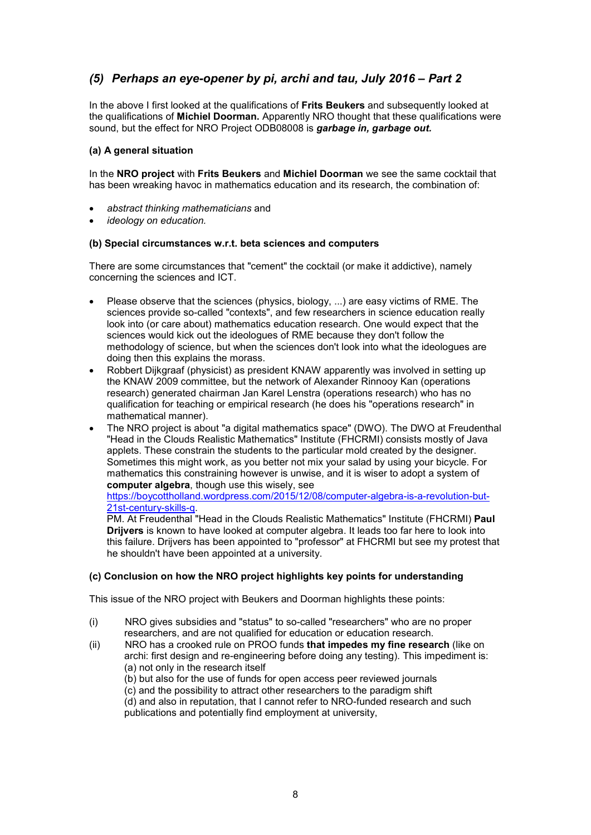# *(5) Perhaps an eye-opener by pi, archi and tau, July 2016 – Part 2*

In the above I first looked at the qualifications of **Frits Beukers** and subsequently looked at the qualifications of **Michiel Doorman.** Apparently NRO thought that these qualifications were sound, but the effect for NRO Project ODB08008 is *garbage in, garbage out.*

### **(a) A general situation**

In the **NRO project** with **Frits Beukers** and **Michiel Doorman** we see the same cocktail that has been wreaking havoc in mathematics education and its research, the combination of:

- *abstract thinking mathematicians* and
- *ideology on education.*

### **(b) Special circumstances w.r.t. beta sciences and computers**

There are some circumstances that "cement" the cocktail (or make it addictive), namely concerning the sciences and ICT.

- Please observe that the sciences (physics, biology, ...) are easy victims of RME. The sciences provide so-called "contexts", and few researchers in science education really look into (or care about) mathematics education research. One would expect that the sciences would kick out the ideologues of RME because they don't follow the methodology of science, but when the sciences don't look into what the ideologues are doing then this explains the morass.
- Robbert Dijkgraaf (physicist) as president KNAW apparently was involved in setting up the KNAW 2009 committee, but the network of Alexander Rinnooy Kan (operations research) generated chairman Jan Karel Lenstra (operations research) who has no qualification for teaching or empirical research (he does his "operations research" in mathematical manner).
- The NRO project is about "a digital mathematics space" (DWO). The DWO at Freudenthal "Head in the Clouds Realistic Mathematics" Institute (FHCRMI) consists mostly of Java applets. These constrain the students to the particular mold created by the designer. Sometimes this might work, as you better not mix your salad by using your bicycle. For mathematics this constraining however is unwise, and it is wiser to adopt a system of **computer algebra**, though use this wisely, see

#### https://boycottholland.wordpress.com/2015/12/08/computer-algebra-is-a-revolution-but-21st-century-skills-q.

PM. At Freudenthal "Head in the Clouds Realistic Mathematics" Institute (FHCRMI) **Paul Drijvers** is known to have looked at computer algebra. It leads too far here to look into this failure. Drijvers has been appointed to "professor" at FHCRMI but see my protest that he shouldn't have been appointed at a university.

### **(c) Conclusion on how the NRO project highlights key points for understanding**

This issue of the NRO project with Beukers and Doorman highlights these points:

- (i) NRO gives subsidies and "status" to so-called "researchers" who are no proper researchers, and are not qualified for education or education research.
- (ii) NRO has a crooked rule on PROO funds **that impedes my fine research** (like on archi: first design and re-engineering before doing any testing). This impediment is: (a) not only in the research itself
	- (b) but also for the use of funds for open access peer reviewed journals
	- (c) and the possibility to attract other researchers to the paradigm shift
	- (d) and also in reputation, that I cannot refer to NRO-funded research and such publications and potentially find employment at university,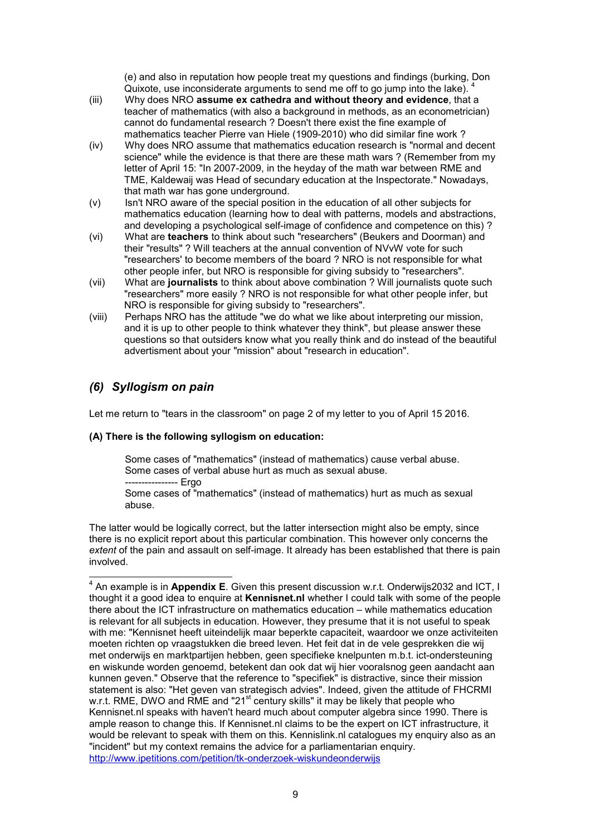(e) and also in reputation how people treat my questions and findings (burking, Don Quixote, use inconsiderate arguments to send me off to go jump into the lake). <sup>4</sup>

- (iii) Why does NRO **assume ex cathedra and without theory and evidence**, that a teacher of mathematics (with also a background in methods, as an econometrician) cannot do fundamental research ? Doesn't there exist the fine example of mathematics teacher Pierre van Hiele (1909-2010) who did similar fine work ?
- (iv) Why does NRO assume that mathematics education research is "normal and decent science" while the evidence is that there are these math wars ? (Remember from my letter of April 15: "In 2007-2009, in the heyday of the math war between RME and TME, Kaldewaij was Head of secundary education at the Inspectorate." Nowadays, that math war has gone underground.
- (v) Isn't NRO aware of the special position in the education of all other subjects for mathematics education (learning how to deal with patterns, models and abstractions, and developing a psychological self-image of confidence and competence on this) ?
- (vi) What are **teachers** to think about such "researchers" (Beukers and Doorman) and their "results" ? Will teachers at the annual convention of NVvW vote for such "researchers' to become members of the board ? NRO is not responsible for what other people infer, but NRO is responsible for giving subsidy to "researchers".
- (vii) What are **journalists** to think about above combination ? Will journalists quote such "researchers" more easily ? NRO is not responsible for what other people infer, but NRO is responsible for giving subsidy to "researchers".
- (viii) Perhaps NRO has the attitude "we do what we like about interpreting our mission, and it is up to other people to think whatever they think", but please answer these questions so that outsiders know what you really think and do instead of the beautiful advertisment about your "mission" about "research in education".

# *(6) Syllogism on pain*

Let me return to "tears in the classroom" on page 2 of my letter to you of April 15 2016.

### **(A) There is the following syllogism on education:**

Some cases of "mathematics" (instead of mathematics) cause verbal abuse. Some cases of verbal abuse hurt as much as sexual abuse. --- Ergo

Some cases of "mathematics" (instead of mathematics) hurt as much as sexual abuse.

The latter would be logically correct, but the latter intersection might also be empty, since there is no explicit report about this particular combination. This however only concerns the *extent* of the pain and assault on self-image. It already has been established that there is pain involved.

 4 An example is in **Appendix E**. Given this present discussion w.r.t. Onderwijs2032 and ICT, I thought it a good idea to enquire at **Kennisnet.nl** whether I could talk with some of the people there about the ICT infrastructure on mathematics education – while mathematics education is relevant for all subjects in education. However, they presume that it is not useful to speak with me: "Kennisnet heeft uiteindelijk maar beperkte capaciteit, waardoor we onze activiteiten moeten richten op vraagstukken die breed leven. Het feit dat in de vele gesprekken die wij met onderwijs en marktpartijen hebben, geen specifieke knelpunten m.b.t. ict-ondersteuning en wiskunde worden genoemd, betekent dan ook dat wij hier vooralsnog geen aandacht aan kunnen geven." Observe that the reference to "specifiek" is distractive, since their mission statement is also: "Het geven van strategisch advies". Indeed, given the attitude of FHCRMI w.r.t. RME, DWO and RME and "21<sup>st</sup> century skills" it may be likely that people who Kennisnet.nl speaks with haven't heard much about computer algebra since 1990. There is ample reason to change this. If Kennisnet.nl claims to be the expert on ICT infrastructure, it would be relevant to speak with them on this. Kennislink.nl catalogues my enquiry also as an "incident" but my context remains the advice for a parliamentarian enquiry. http://www.ipetitions.com/petition/tk-onderzoek-wiskundeonderwijs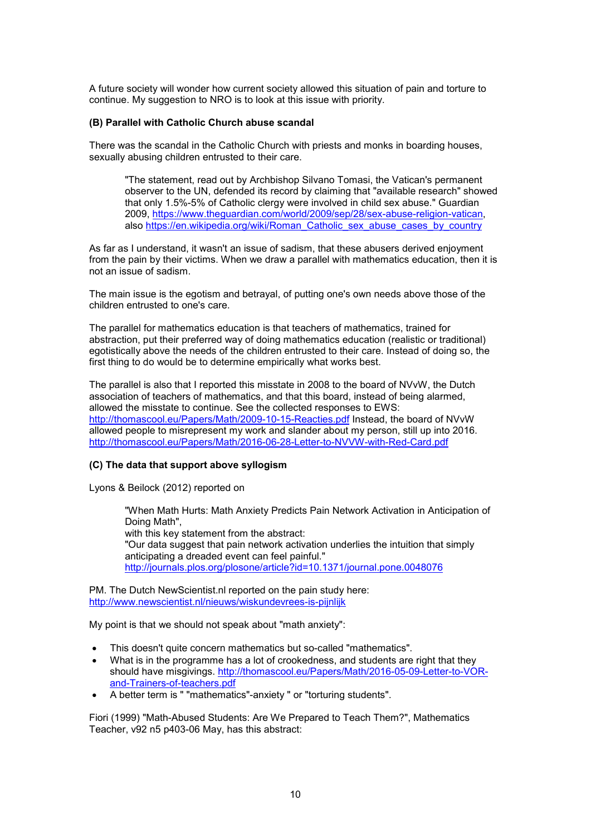A future society will wonder how current society allowed this situation of pain and torture to continue. My suggestion to NRO is to look at this issue with priority.

#### **(B) Parallel with Catholic Church abuse scandal**

There was the scandal in the Catholic Church with priests and monks in boarding houses, sexually abusing children entrusted to their care.

"The statement, read out by Archbishop Silvano Tomasi, the Vatican's permanent observer to the UN, defended its record by claiming that "available research" showed that only 1.5%-5% of Catholic clergy were involved in child sex abuse." Guardian 2009, https://www.theguardian.com/world/2009/sep/28/sex-abuse-religion-vatican, also https://en.wikipedia.org/wiki/Roman\_Catholic\_sex\_abuse\_cases\_by\_country

As far as I understand, it wasn't an issue of sadism, that these abusers derived enjoyment from the pain by their victims. When we draw a parallel with mathematics education, then it is not an issue of sadism.

The main issue is the egotism and betrayal, of putting one's own needs above those of the children entrusted to one's care.

The parallel for mathematics education is that teachers of mathematics, trained for abstraction, put their preferred way of doing mathematics education (realistic or traditional) egotistically above the needs of the children entrusted to their care. Instead of doing so, the first thing to do would be to determine empirically what works best.

The parallel is also that I reported this misstate in 2008 to the board of NVvW, the Dutch association of teachers of mathematics, and that this board, instead of being alarmed, allowed the misstate to continue. See the collected responses to EWS: http://thomascool.eu/Papers/Math/2009-10-15-Reacties.pdf Instead, the board of NVvW allowed people to misrepresent my work and slander about my person, still up into 2016. http://thomascool.eu/Papers/Math/2016-06-28-Letter-to-NVVW-with-Red-Card.pdf

#### **(C) The data that support above syllogism**

Lyons & Beilock (2012) reported on

"When Math Hurts: Math Anxiety Predicts Pain Network Activation in Anticipation of Doing Math", with this key statement from the abstract: "Our data suggest that pain network activation underlies the intuition that simply anticipating a dreaded event can feel painful." http://journals.plos.org/plosone/article?id=10.1371/journal.pone.0048076

PM. The Dutch NewScientist.nl reported on the pain study here: http://www.newscientist.nl/nieuws/wiskundevrees-is-pijnlijk

My point is that we should not speak about "math anxiety":

- This doesn't quite concern mathematics but so-called "mathematics".
- What is in the programme has a lot of crookedness, and students are right that they should have misgivings. http://thomascool.eu/Papers/Math/2016-05-09-Letter-to-VORand-Trainers-of-teachers.pdf
- A better term is " "mathematics"-anxiety " or "torturing students".

Fiori (1999) "Math-Abused Students: Are We Prepared to Teach Them?", Mathematics Teacher, v92 n5 p403-06 May, has this abstract: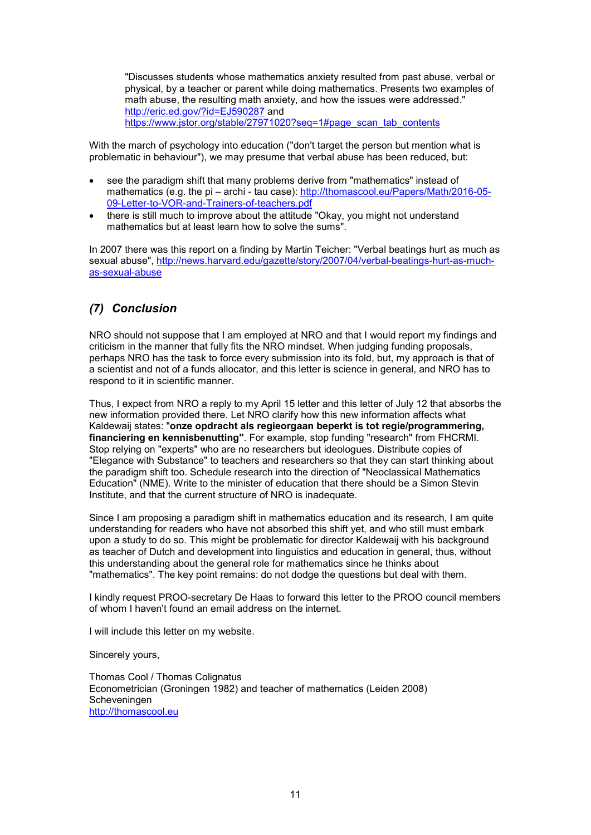"Discusses students whose mathematics anxiety resulted from past abuse, verbal or physical, by a teacher or parent while doing mathematics. Presents two examples of math abuse, the resulting math anxiety, and how the issues were addressed." http://eric.ed.gov/?id=EJ590287 and https://www.jstor.org/stable/27971020?seq=1#page\_scan\_tab\_contents

With the march of psychology into education ("don't target the person but mention what is problematic in behaviour"), we may presume that verbal abuse has been reduced, but:

- see the paradigm shift that many problems derive from "mathematics" instead of mathematics (e.g. the pi – archi - tau case): http://thomascool.eu/Papers/Math/2016-05- 09-Letter-to-VOR-and-Trainers-of-teachers.pdf
- there is still much to improve about the attitude "Okay, you might not understand mathematics but at least learn how to solve the sums".

In 2007 there was this report on a finding by Martin Teicher: "Verbal beatings hurt as much as sexual abuse", http://news.harvard.edu/gazette/story/2007/04/verbal-beatings-hurt-as-muchas-sexual-abuse

# *(7) Conclusion*

NRO should not suppose that I am employed at NRO and that I would report my findings and criticism in the manner that fully fits the NRO mindset. When judging funding proposals, perhaps NRO has the task to force every submission into its fold, but, my approach is that of a scientist and not of a funds allocator, and this letter is science in general, and NRO has to respond to it in scientific manner.

Thus, I expect from NRO a reply to my April 15 letter and this letter of July 12 that absorbs the new information provided there. Let NRO clarify how this new information affects what Kaldewaij states: "**onze opdracht als regieorgaan beperkt is tot regie/programmering, financiering en kennisbenutting"**. For example, stop funding "research" from FHCRMI. Stop relying on "experts" who are no researchers but ideologues. Distribute copies of "Elegance with Substance" to teachers and researchers so that they can start thinking about the paradigm shift too. Schedule research into the direction of "Neoclassical Mathematics Education" (NME). Write to the minister of education that there should be a Simon Stevin Institute, and that the current structure of NRO is inadequate.

Since I am proposing a paradigm shift in mathematics education and its research, I am quite understanding for readers who have not absorbed this shift yet, and who still must embark upon a study to do so. This might be problematic for director Kaldewaij with his background as teacher of Dutch and development into linguistics and education in general, thus, without this understanding about the general role for mathematics since he thinks about "mathematics". The key point remains: do not dodge the questions but deal with them.

I kindly request PROO-secretary De Haas to forward this letter to the PROO council members of whom I haven't found an email address on the internet.

I will include this letter on my website.

Sincerely yours,

Thomas Cool / Thomas Colignatus Econometrician (Groningen 1982) and teacher of mathematics (Leiden 2008) Scheveningen http://thomascool.eu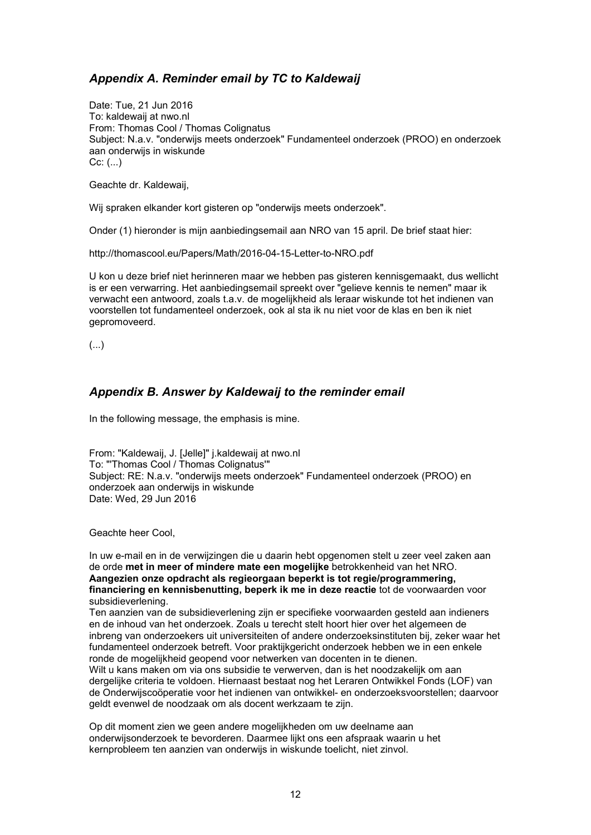# *Appendix A. Reminder email by TC to Kaldewaij*

Date: Tue, 21 Jun 2016 To: kaldewaij at nwo.nl From: Thomas Cool / Thomas Colignatus Subject: N.a.v. "onderwijs meets onderzoek" Fundamenteel onderzoek (PROO) en onderzoek aan onderwijs in wiskunde  $Cc:$   $(...)$ 

Geachte dr. Kaldewaij,

Wij spraken elkander kort gisteren op "onderwijs meets onderzoek".

Onder (1) hieronder is mijn aanbiedingsemail aan NRO van 15 april. De brief staat hier:

http://thomascool.eu/Papers/Math/2016-04-15-Letter-to-NRO.pdf

U kon u deze brief niet herinneren maar we hebben pas gisteren kennisgemaakt, dus wellicht is er een verwarring. Het aanbiedingsemail spreekt over "gelieve kennis te nemen" maar ik verwacht een antwoord, zoals t.a.v. de mogelijkheid als leraar wiskunde tot het indienen van voorstellen tot fundamenteel onderzoek, ook al sta ik nu niet voor de klas en ben ik niet gepromoveerd.

(...)

# *Appendix B. Answer by Kaldewaij to the reminder email*

In the following message, the emphasis is mine.

From: "Kaldewaij, J. [Jelle]" j.kaldewaij at nwo.nl To: "'Thomas Cool / Thomas Colignatus'" Subject: RE: N.a.v. "onderwijs meets onderzoek" Fundamenteel onderzoek (PROO) en onderzoek aan onderwijs in wiskunde Date: Wed, 29 Jun 2016

Geachte heer Cool,

In uw e-mail en in de verwijzingen die u daarin hebt opgenomen stelt u zeer veel zaken aan de orde **met in meer of mindere mate een mogelijke** betrokkenheid van het NRO. **Aangezien onze opdracht als regieorgaan beperkt is tot regie/programmering, financiering en kennisbenutting, beperk ik me in deze reactie** tot de voorwaarden voor subsidieverlening.

Ten aanzien van de subsidieverlening zijn er specifieke voorwaarden gesteld aan indieners en de inhoud van het onderzoek. Zoals u terecht stelt hoort hier over het algemeen de inbreng van onderzoekers uit universiteiten of andere onderzoeksinstituten bij, zeker waar het fundamenteel onderzoek betreft. Voor praktijkgericht onderzoek hebben we in een enkele ronde de mogelijkheid geopend voor netwerken van docenten in te dienen. Wilt u kans maken om via ons subsidie te verwerven, dan is het noodzakelijk om aan dergelijke criteria te voldoen. Hiernaast bestaat nog het Leraren Ontwikkel Fonds (LOF) van de Onderwijscoöperatie voor het indienen van ontwikkel- en onderzoeksvoorstellen; daarvoor geldt evenwel de noodzaak om als docent werkzaam te zijn.

Op dit moment zien we geen andere mogelijkheden om uw deelname aan onderwijsonderzoek te bevorderen. Daarmee lijkt ons een afspraak waarin u het kernprobleem ten aanzien van onderwijs in wiskunde toelicht, niet zinvol.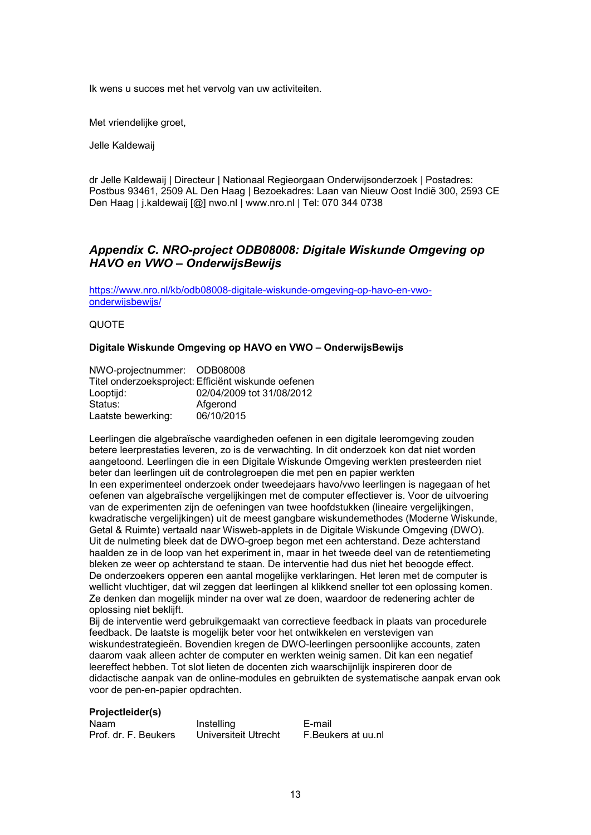Ik wens u succes met het vervolg van uw activiteiten.

Met vriendelijke groet,

Jelle Kaldewaij

dr Jelle Kaldewaij | Directeur | Nationaal Regieorgaan Onderwijsonderzoek | Postadres: Postbus 93461, 2509 AL Den Haag | Bezoekadres: Laan van Nieuw Oost Indië 300, 2593 CE Den Haag | j.kaldewaij [@] nwo.nl | www.nro.nl | Tel: 070 344 0738

## *Appendix C. NRO-project ODB08008: Digitale Wiskunde Omgeving op HAVO en VWO – OnderwijsBewijs*

https://www.nro.nl/kb/odb08008-digitale-wiskunde-omgeving-op-havo-en-vwoonderwijsbewijs/

QUOTE

### **Digitale Wiskunde Omgeving op HAVO en VWO – OnderwijsBewijs**

| NWO-projectnummer: ODB08008 |                                                     |
|-----------------------------|-----------------------------------------------------|
|                             | Titel onderzoeksproject: Efficiënt wiskunde oefenen |
| Looptijd:                   | 02/04/2009 tot 31/08/2012                           |
| Status:                     | Afgerond                                            |
| Laatste bewerking:          | 06/10/2015                                          |

Leerlingen die algebraïsche vaardigheden oefenen in een digitale leeromgeving zouden betere leerprestaties leveren, zo is de verwachting. In dit onderzoek kon dat niet worden aangetoond. Leerlingen die in een Digitale Wiskunde Omgeving werkten presteerden niet beter dan leerlingen uit de controlegroepen die met pen en papier werkten In een experimenteel onderzoek onder tweedejaars havo/vwo leerlingen is nagegaan of het oefenen van algebraïsche vergelijkingen met de computer effectiever is. Voor de uitvoering van de experimenten zijn de oefeningen van twee hoofdstukken (lineaire vergelijkingen, kwadratische vergelijkingen) uit de meest gangbare wiskundemethodes (Moderne Wiskunde, Getal & Ruimte) vertaald naar Wisweb-applets in de Digitale Wiskunde Omgeving (DWO). Uit de nulmeting bleek dat de DWO-groep begon met een achterstand. Deze achterstand haalden ze in de loop van het experiment in, maar in het tweede deel van de retentiemeting bleken ze weer op achterstand te staan. De interventie had dus niet het beoogde effect. De onderzoekers opperen een aantal mogelijke verklaringen. Het leren met de computer is wellicht vluchtiger, dat wil zeggen dat leerlingen al klikkend sneller tot een oplossing komen. Ze denken dan mogelijk minder na over wat ze doen, waardoor de redenering achter de oplossing niet beklijft.

Bij de interventie werd gebruikgemaakt van correctieve feedback in plaats van procedurele feedback. De laatste is mogelijk beter voor het ontwikkelen en verstevigen van wiskundestrategieën. Bovendien kregen de DWO-leerlingen persoonlijke accounts, zaten daarom vaak alleen achter de computer en werkten weinig samen. Dit kan een negatief leereffect hebben. Tot slot lieten de docenten zich waarschijnlijk inspireren door de didactische aanpak van de online-modules en gebruikten de systematische aanpak ervan ook voor de pen-en-papier opdrachten.

#### **Projectleider(s)**

| Naam                 | Instelling           | E-mail             |
|----------------------|----------------------|--------------------|
| Prof. dr. F. Beukers | Universiteit Utrecht | F.Beukers at uu.nl |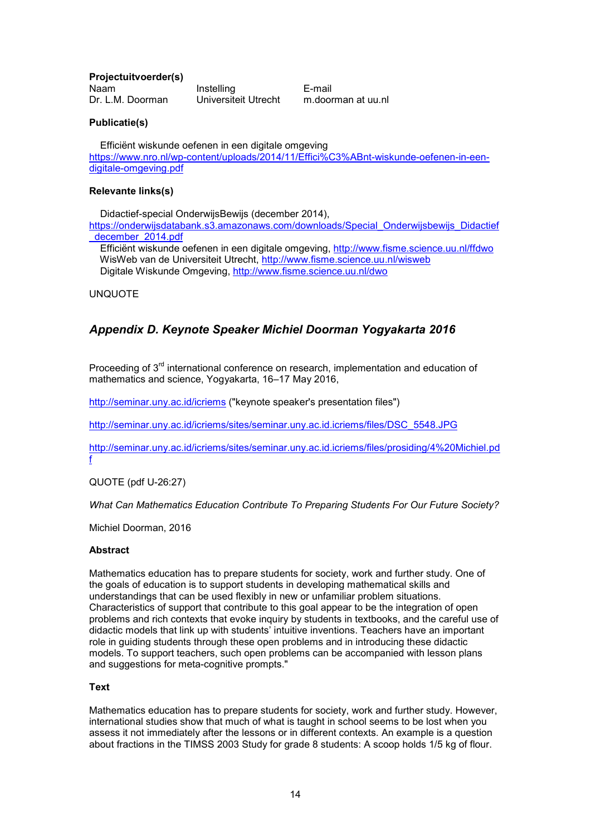**Projectuitvoerder(s)**

Naam Instelling E-mail Dr. L.M. Doorman Universiteit Utrecht m.doorman at uu.nl

## **Publicatie(s)**

 Efficiënt wiskunde oefenen in een digitale omgeving https://www.nro.nl/wp-content/uploads/2014/11/Effici%C3%ABnt-wiskunde-oefenen-in-eendigitale-omgeving.pdf

### **Relevante links(s)**

Didactief-special OnderwijsBewijs (december 2014),

https://onderwijsdatabank.s3.amazonaws.com/downloads/Special\_Onderwijsbewijs\_Didactief \_december\_2014.pdf

 Efficiënt wiskunde oefenen in een digitale omgeving, http://www.fisme.science.uu.nl/ffdwo WisWeb van de Universiteit Utrecht, http://www.fisme.science.uu.nl/wisweb Digitale Wiskunde Omgeving, http://www.fisme.science.uu.nl/dwo

UNQUOTE

# *Appendix D. Keynote Speaker Michiel Doorman Yogyakarta 2016*

Proceeding of  $3<sup>rd</sup>$  international conference on research, implementation and education of mathematics and science, Yogyakarta, 16–17 May 2016,

http://seminar.uny.ac.id/icriems ("keynote speaker's presentation files")

http://seminar.uny.ac.id/icriems/sites/seminar.uny.ac.id.icriems/files/DSC\_5548.JPG

http://seminar.uny.ac.id/icriems/sites/seminar.uny.ac.id.icriems/files/prosiding/4%20Michiel.pd f

QUOTE (pdf U-26:27)

*What Can Mathematics Education Contribute To Preparing Students For Our Future Society?*

Michiel Doorman, 2016

#### **Abstract**

Mathematics education has to prepare students for society, work and further study. One of the goals of education is to support students in developing mathematical skills and understandings that can be used flexibly in new or unfamiliar problem situations. Characteristics of support that contribute to this goal appear to be the integration of open problems and rich contexts that evoke inquiry by students in textbooks, and the careful use of didactic models that link up with students' intuitive inventions. Teachers have an important role in guiding students through these open problems and in introducing these didactic models. To support teachers, such open problems can be accompanied with lesson plans and suggestions for meta-cognitive prompts."

#### **Text**

Mathematics education has to prepare students for society, work and further study. However, international studies show that much of what is taught in school seems to be lost when you assess it not immediately after the lessons or in different contexts. An example is a question about fractions in the TIMSS 2003 Study for grade 8 students: A scoop holds 1/5 kg of flour.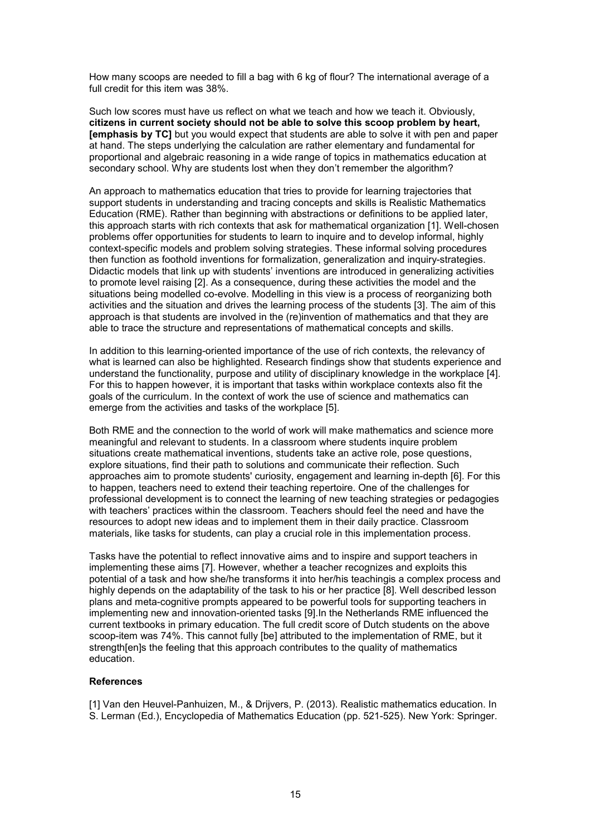How many scoops are needed to fill a bag with 6 kg of flour? The international average of a full credit for this item was 38%.

Such low scores must have us reflect on what we teach and how we teach it. Obviously, **citizens in current society should not be able to solve this scoop problem by heart, [emphasis by TC]** but you would expect that students are able to solve it with pen and paper at hand. The steps underlying the calculation are rather elementary and fundamental for proportional and algebraic reasoning in a wide range of topics in mathematics education at secondary school. Why are students lost when they don't remember the algorithm?

An approach to mathematics education that tries to provide for learning trajectories that support students in understanding and tracing concepts and skills is Realistic Mathematics Education (RME). Rather than beginning with abstractions or definitions to be applied later, this approach starts with rich contexts that ask for mathematical organization [1]. Well-chosen problems offer opportunities for students to learn to inquire and to develop informal, highly context-specific models and problem solving strategies. These informal solving procedures then function as foothold inventions for formalization, generalization and inquiry-strategies. Didactic models that link up with students' inventions are introduced in generalizing activities to promote level raising [2]. As a consequence, during these activities the model and the situations being modelled co-evolve. Modelling in this view is a process of reorganizing both activities and the situation and drives the learning process of the students [3]. The aim of this approach is that students are involved in the (re)invention of mathematics and that they are able to trace the structure and representations of mathematical concepts and skills.

In addition to this learning-oriented importance of the use of rich contexts, the relevancy of what is learned can also be highlighted. Research findings show that students experience and understand the functionality, purpose and utility of disciplinary knowledge in the workplace [4]. For this to happen however, it is important that tasks within workplace contexts also fit the goals of the curriculum. In the context of work the use of science and mathematics can emerge from the activities and tasks of the workplace [5].

Both RME and the connection to the world of work will make mathematics and science more meaningful and relevant to students. In a classroom where students inquire problem situations create mathematical inventions, students take an active role, pose questions, explore situations, find their path to solutions and communicate their reflection. Such approaches aim to promote students' curiosity, engagement and learning in-depth [6]. For this to happen, teachers need to extend their teaching repertoire. One of the challenges for professional development is to connect the learning of new teaching strategies or pedagogies with teachers' practices within the classroom. Teachers should feel the need and have the resources to adopt new ideas and to implement them in their daily practice. Classroom materials, like tasks for students, can play a crucial role in this implementation process.

Tasks have the potential to reflect innovative aims and to inspire and support teachers in implementing these aims [7]. However, whether a teacher recognizes and exploits this potential of a task and how she/he transforms it into her/his teachingis a complex process and highly depends on the adaptability of the task to his or her practice [8]. Well described lesson plans and meta-cognitive prompts appeared to be powerful tools for supporting teachers in implementing new and innovation-oriented tasks [9].In the Netherlands RME influenced the current textbooks in primary education. The full credit score of Dutch students on the above scoop-item was 74%. This cannot fully [be] attributed to the implementation of RME, but it strength[en]s the feeling that this approach contributes to the quality of mathematics education.

#### **References**

[1] Van den Heuvel-Panhuizen, M., & Drijvers, P. (2013). Realistic mathematics education. In S. Lerman (Ed.), Encyclopedia of Mathematics Education (pp. 521-525). New York: Springer.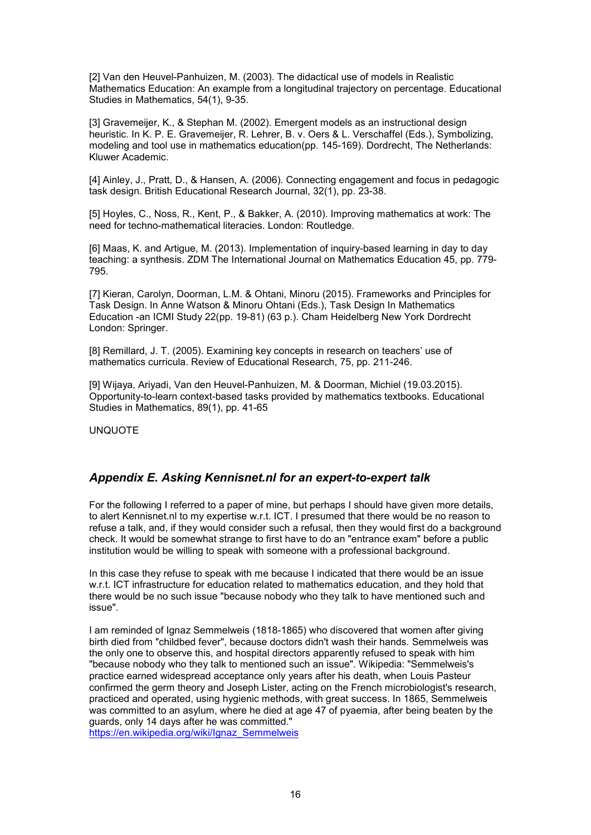[2] Van den Heuvel-Panhuizen, M. (2003). The didactical use of models in Realistic Mathematics Education: An example from a longitudinal trajectory on percentage. Educational Studies in Mathematics, 54(1), 9-35.

[3] Gravemeijer, K., & Stephan M. (2002). Emergent models as an instructional design heuristic. In K. P. E. Gravemeijer, R. Lehrer, B. v. Oers & L. Verschaffel (Eds.), Symbolizing, modeling and tool use in mathematics education(pp. 145-169). Dordrecht, The Netherlands: Kluwer Academic.

[4] Ainley, J., Pratt, D., & Hansen, A. (2006). Connecting engagement and focus in pedagogic task design. British Educational Research Journal, 32(1), pp. 23-38.

[5] Hoyles, C., Noss, R., Kent, P., & Bakker, A. (2010). Improving mathematics at work: The need for techno-mathematical literacies. London: Routledge.

[6] Maas, K. and Artigue, M. (2013). Implementation of inquiry-based learning in day to day teaching: a synthesis. ZDM The International Journal on Mathematics Education 45, pp. 779- 795.

[7] Kieran, Carolyn, Doorman, L.M. & Ohtani, Minoru (2015). Frameworks and Principles for Task Design. In Anne Watson & Minoru Ohtani (Eds.), Task Design In Mathematics Education -an ICMI Study 22(pp. 19-81) (63 p.). Cham Heidelberg New York Dordrecht London: Springer.

[8] Remillard, J. T. (2005). Examining key concepts in research on teachers' use of mathematics curricula. Review of Educational Research, 75, pp. 211-246.

[9] Wijaya, Ariyadi, Van den Heuvel-Panhuizen, M. & Doorman, Michiel (19.03.2015). Opportunity-to-learn context-based tasks provided by mathematics textbooks. Educational Studies in Mathematics, 89(1), pp. 41-65

UNQUOTE

## *Appendix E. Asking Kennisnet.nl for an expert-to-expert talk*

For the following I referred to a paper of mine, but perhaps I should have given more details, to alert Kennisnet.nl to my expertise w.r.t. ICT. I presumed that there would be no reason to refuse a talk, and, if they would consider such a refusal, then they would first do a background check. It would be somewhat strange to first have to do an "entrance exam" before a public institution would be willing to speak with someone with a professional background.

In this case they refuse to speak with me because I indicated that there would be an issue w.r.t. ICT infrastructure for education related to mathematics education, and they hold that there would be no such issue "because nobody who they talk to have mentioned such and issue".

I am reminded of Ignaz Semmelweis (1818-1865) who discovered that women after giving birth died from "childbed fever", because doctors didn't wash their hands. Semmelweis was the only one to observe this, and hospital directors apparently refused to speak with him "because nobody who they talk to mentioned such an issue". Wikipedia: "Semmelweis's practice earned widespread acceptance only years after his death, when Louis Pasteur confirmed the germ theory and Joseph Lister, acting on the French microbiologist's research, practiced and operated, using hygienic methods, with great success. In 1865, Semmelweis was committed to an asylum, where he died at age 47 of pyaemia, after being beaten by the guards, only 14 days after he was committed."

https://en.wikipedia.org/wiki/Ignaz\_Semmelweis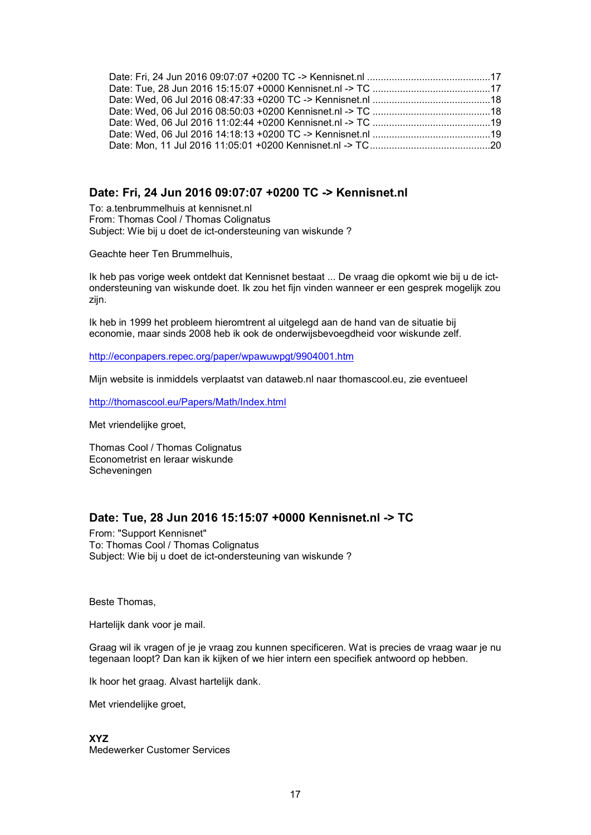## **Date: Fri, 24 Jun 2016 09:07:07 +0200 TC -> Kennisnet.nl**

To: a.tenbrummelhuis at kennisnet.nl From: Thomas Cool / Thomas Colignatus Subject: Wie bij u doet de ict-ondersteuning van wiskunde ?

Geachte heer Ten Brummelhuis,

Ik heb pas vorige week ontdekt dat Kennisnet bestaat ... De vraag die opkomt wie bij u de ictondersteuning van wiskunde doet. Ik zou het fijn vinden wanneer er een gesprek mogelijk zou zijn.

Ik heb in 1999 het probleem hieromtrent al uitgelegd aan de hand van de situatie bij economie, maar sinds 2008 heb ik ook de onderwijsbevoegdheid voor wiskunde zelf.

http://econpapers.repec.org/paper/wpawuwpgt/9904001.htm

Mijn website is inmiddels verplaatst van dataweb.nl naar thomascool.eu, zie eventueel

http://thomascool.eu/Papers/Math/Index.html

Met vriendelijke groet,

Thomas Cool / Thomas Colignatus Econometrist en leraar wiskunde Scheveningen

## **Date: Tue, 28 Jun 2016 15:15:07 +0000 Kennisnet.nl -> TC**

From: "Support Kennisnet" To: Thomas Cool / Thomas Colignatus Subject: Wie bij u doet de ict-ondersteuning van wiskunde ?

Beste Thomas,

Hartelijk dank voor je mail.

Graag wil ik vragen of je je vraag zou kunnen specificeren. Wat is precies de vraag waar je nu tegenaan loopt? Dan kan ik kijken of we hier intern een specifiek antwoord op hebben.

Ik hoor het graag. Alvast hartelijk dank.

Met vriendelijke groet,

**XYZ** Medewerker Customer Services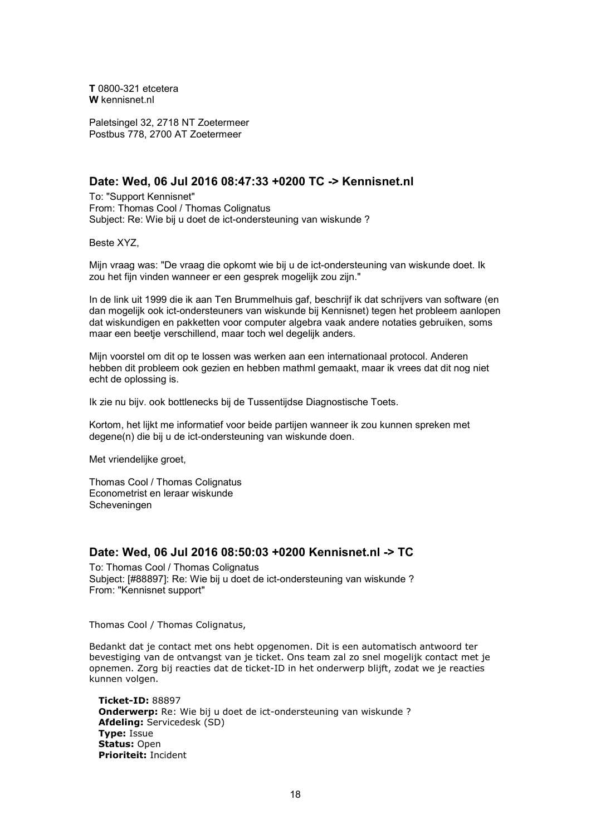**T** 0800-321 etcetera **W** kennisnet.nl

Paletsingel 32, 2718 NT Zoetermeer Postbus 778, 2700 AT Zoetermeer

## **Date: Wed, 06 Jul 2016 08:47:33 +0200 TC -> Kennisnet.nl**

To: "Support Kennisnet" From: Thomas Cool / Thomas Colignatus Subject: Re: Wie bij u doet de ict-ondersteuning van wiskunde ?

Beste XYZ,

Mijn vraag was: "De vraag die opkomt wie bij u de ict-ondersteuning van wiskunde doet. Ik zou het fijn vinden wanneer er een gesprek mogelijk zou zijn."

In de link uit 1999 die ik aan Ten Brummelhuis gaf, beschrijf ik dat schrijvers van software (en dan mogelijk ook ict-ondersteuners van wiskunde bij Kennisnet) tegen het probleem aanlopen dat wiskundigen en pakketten voor computer algebra vaak andere notaties gebruiken, soms maar een beetje verschillend, maar toch wel degelijk anders.

Mijn voorstel om dit op te lossen was werken aan een internationaal protocol. Anderen hebben dit probleem ook gezien en hebben mathml gemaakt, maar ik vrees dat dit nog niet echt de oplossing is.

Ik zie nu bijv. ook bottlenecks bij de Tussentijdse Diagnostische Toets.

Kortom, het lijkt me informatief voor beide partijen wanneer ik zou kunnen spreken met degene(n) die bij u de ict-ondersteuning van wiskunde doen.

Met vriendelijke groet,

Thomas Cool / Thomas Colignatus Econometrist en leraar wiskunde Scheveningen

## **Date: Wed, 06 Jul 2016 08:50:03 +0200 Kennisnet.nl -> TC**

To: Thomas Cool / Thomas Colignatus Subject: [#88897]: Re: Wie bij u doet de ict-ondersteuning van wiskunde ? From: "Kennisnet support"

Thomas Cool / Thomas Colignatus,

Bedankt dat je contact met ons hebt opgenomen. Dit is een automatisch antwoord ter bevestiging van de ontvangst van je ticket. Ons team zal zo snel mogelijk contact met je opnemen. Zorg bij reacties dat de ticket-ID in het onderwerp blijft, zodat we je reacties kunnen volgen.

 **Ticket-ID:** 88897 **Onderwerp:** Re: Wie bij u doet de ict-ondersteuning van wiskunde ? **Afdeling:** Servicedesk (SD) **Type:** Issue **Status:** Open **Prioriteit:** Incident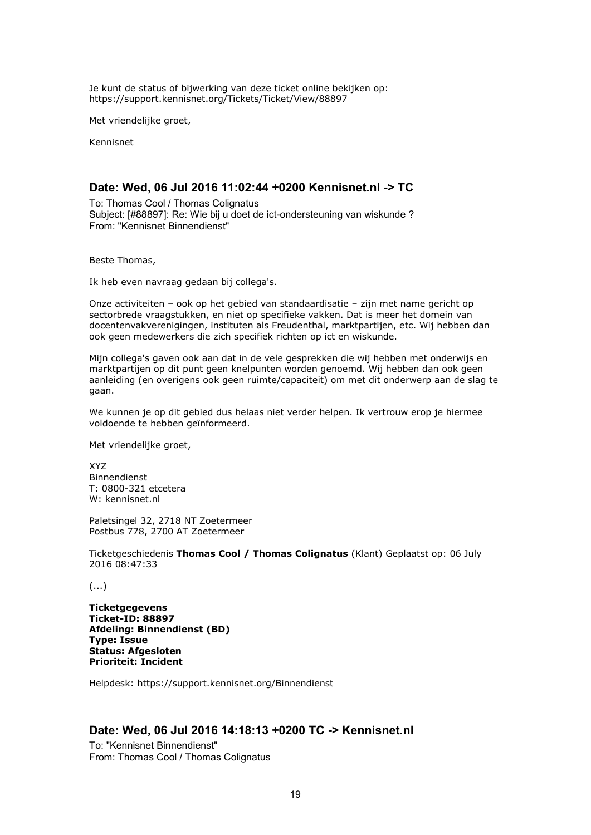Je kunt de status of bijwerking van deze ticket online bekijken op: https://support.kennisnet.org/Tickets/Ticket/View/88897

Met vriendelijke groet,

Kennisnet

## **Date: Wed, 06 Jul 2016 11:02:44 +0200 Kennisnet.nl -> TC**

To: Thomas Cool / Thomas Colignatus Subject: [#88897]: Re: Wie bij u doet de ict-ondersteuning van wiskunde ? From: "Kennisnet Binnendienst"

Beste Thomas,

Ik heb even navraag gedaan bij collega's.

Onze activiteiten – ook op het gebied van standaardisatie – zijn met name gericht op sectorbrede vraagstukken, en niet op specifieke vakken. Dat is meer het domein van docentenvakverenigingen, instituten als Freudenthal, marktpartijen, etc. Wij hebben dan ook geen medewerkers die zich specifiek richten op ict en wiskunde.

Mijn collega's gaven ook aan dat in de vele gesprekken die wij hebben met onderwijs en marktpartijen op dit punt geen knelpunten worden genoemd. Wij hebben dan ook geen aanleiding (en overigens ook geen ruimte/capaciteit) om met dit onderwerp aan de slag te gaan.

We kunnen je op dit gebied dus helaas niet verder helpen. Ik vertrouw erop je hiermee voldoende te hebben geïnformeerd.

Met vriendelijke groet,

XYZ Binnendienst T: 0800-321 etcetera W: kennisnet.nl

Paletsingel 32, 2718 NT Zoetermeer Postbus 778, 2700 AT Zoetermeer

Ticketgeschiedenis **Thomas Cool / Thomas Colignatus** (Klant) Geplaatst op: 06 July 2016 08:47:33

(...)

**Ticketgegevens Ticket-ID: 88897 Afdeling: Binnendienst (BD) Type: Issue Status: Afgesloten Prioriteit: Incident**

Helpdesk: https://support.kennisnet.org/Binnendienst

## **Date: Wed, 06 Jul 2016 14:18:13 +0200 TC -> Kennisnet.nl**

To: "Kennisnet Binnendienst" From: Thomas Cool / Thomas Colignatus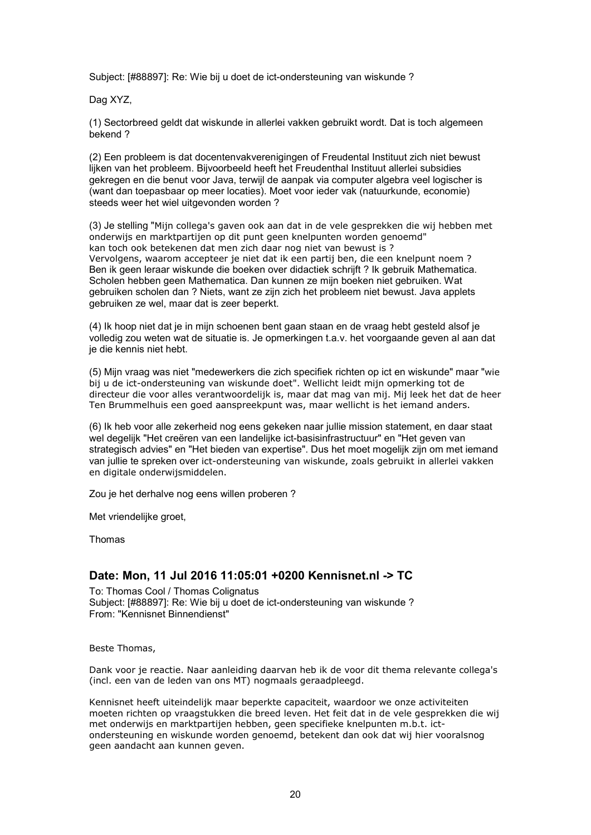Subject: [#88897]: Re: Wie bij u doet de ict-ondersteuning van wiskunde ?

Dag XYZ,

(1) Sectorbreed geldt dat wiskunde in allerlei vakken gebruikt wordt. Dat is toch algemeen bekend ?

(2) Een probleem is dat docentenvakverenigingen of Freudental Instituut zich niet bewust lijken van het probleem. Bijvoorbeeld heeft het Freudenthal Instituut allerlei subsidies gekregen en die benut voor Java, terwijl de aanpak via computer algebra veel logischer is (want dan toepasbaar op meer locaties). Moet voor ieder vak (natuurkunde, economie) steeds weer het wiel uitgevonden worden ?

(3) Je stelling "Mijn collega's gaven ook aan dat in de vele gesprekken die wij hebben met onderwijs en marktpartijen op dit punt geen knelpunten worden genoemd" kan toch ook betekenen dat men zich daar nog niet van bewust is ? Vervolgens, waarom accepteer je niet dat ik een partij ben, die een knelpunt noem ? Ben ik geen leraar wiskunde die boeken over didactiek schrijft ? Ik gebruik Mathematica. Scholen hebben geen Mathematica. Dan kunnen ze mijn boeken niet gebruiken. Wat gebruiken scholen dan ? Niets, want ze zijn zich het probleem niet bewust. Java applets gebruiken ze wel, maar dat is zeer beperkt.

(4) Ik hoop niet dat je in mijn schoenen bent gaan staan en de vraag hebt gesteld alsof je volledig zou weten wat de situatie is. Je opmerkingen t.a.v. het voorgaande geven al aan dat je die kennis niet hebt.

(5) Mijn vraag was niet "medewerkers die zich specifiek richten op ict en wiskunde" maar "wie bij u de ict-ondersteuning van wiskunde doet". Wellicht leidt mijn opmerking tot de directeur die voor alles verantwoordelijk is, maar dat mag van mij. Mij leek het dat de heer Ten Brummelhuis een goed aanspreekpunt was, maar wellicht is het iemand anders.

(6) Ik heb voor alle zekerheid nog eens gekeken naar jullie mission statement, en daar staat wel degelijk "Het creëren van een landelijke ict-basisinfrastructuur" en "Het geven van strategisch advies" en "Het bieden van expertise". Dus het moet mogelijk zijn om met iemand van jullie te spreken over ict-ondersteuning van wiskunde, zoals gebruikt in allerlei vakken en digitale onderwijsmiddelen.

Zou je het derhalve nog eens willen proberen ?

Met vriendelijke groet,

Thomas

## **Date: Mon, 11 Jul 2016 11:05:01 +0200 Kennisnet.nl -> TC**

To: Thomas Cool / Thomas Colignatus Subject: [#88897]: Re: Wie bij u doet de ict-ondersteuning van wiskunde ? From: "Kennisnet Binnendienst"

Beste Thomas,

Dank voor je reactie. Naar aanleiding daarvan heb ik de voor dit thema relevante collega's (incl. een van de leden van ons MT) nogmaals geraadpleegd.

Kennisnet heeft uiteindelijk maar beperkte capaciteit, waardoor we onze activiteiten moeten richten op vraagstukken die breed leven. Het feit dat in de vele gesprekken die wij met onderwijs en marktpartijen hebben, geen specifieke knelpunten m.b.t. ictondersteuning en wiskunde worden genoemd, betekent dan ook dat wij hier vooralsnog geen aandacht aan kunnen geven.